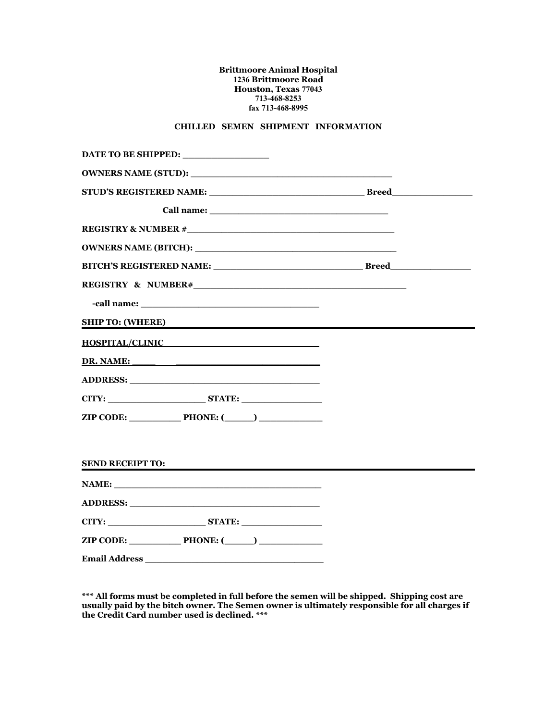## **Brittmoore Animal Hospital 1236 Brittmoore Road Houston, Texas 77043 713-468-8253 fax 713-468-8995**

## **CHILLED SEMEN SHIPMENT INFORMATION**

| DATE TO BE SHIPPED: _________________                                                                                                                                            |  |
|----------------------------------------------------------------------------------------------------------------------------------------------------------------------------------|--|
|                                                                                                                                                                                  |  |
| STUD'S REGISTERED NAME: Breed                                                                                                                                                    |  |
|                                                                                                                                                                                  |  |
|                                                                                                                                                                                  |  |
|                                                                                                                                                                                  |  |
|                                                                                                                                                                                  |  |
|                                                                                                                                                                                  |  |
|                                                                                                                                                                                  |  |
| SHIP TO: (WHERE)                                                                                                                                                                 |  |
| HOSPITAL/CLINIC                                                                                                                                                                  |  |
| DR. NAME:                                                                                                                                                                        |  |
|                                                                                                                                                                                  |  |
|                                                                                                                                                                                  |  |
| $\mathsf{ZIP}\ \mathsf{CODE:}\ \_\_\_\!\!\mathsf{PHONE:}\ (\_\_\_\)\_\_\_\_\!\!\mathsf{CLP}\ \mathsf{CODE:}\ \_\_\_\_\_\!\!\mathsf{CLP}\ \mathsf{CODE:}\ \_\_\_\_\_\_\_\_\_\_ \$ |  |
|                                                                                                                                                                                  |  |
| <b>SEND RECEIPT TO:</b>                                                                                                                                                          |  |
|                                                                                                                                                                                  |  |
|                                                                                                                                                                                  |  |
| CITY: STATE:                                                                                                                                                                     |  |
| $\mathsf{ZIP}\ \mathsf{CODE:}\n \qquad \qquad \mathsf{PHONE:}(\qquad)\n$                                                                                                         |  |
| <b>Email Address</b>                                                                                                                                                             |  |

**\*\*\* All forms must be completed in full before the semen will be shipped. Shipping cost are usually paid by the bitch owner. The Semen owner is ultimately responsible for all charges if the Credit Card number used is declined. \*\*\***